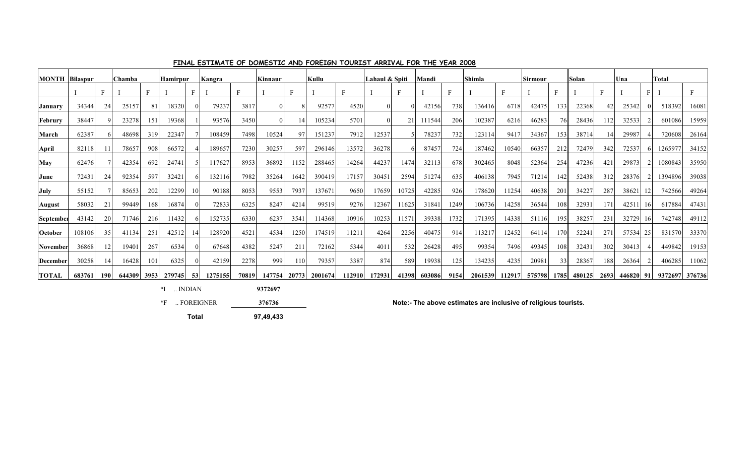| <b>MONTH</b> Bilaspur |        |                 | Chamba |     | <b>Hamirpur</b>    |                 | Kangra  |       | Kinnaur |               | Kullu                |       | Lahaul & Spiti      |       | Mandi  |             | Shimla |       | Sirmour                                          |      | Solan |     | Una   |     | <b>Total</b>   |       |
|-----------------------|--------|-----------------|--------|-----|--------------------|-----------------|---------|-------|---------|---------------|----------------------|-------|---------------------|-------|--------|-------------|--------|-------|--------------------------------------------------|------|-------|-----|-------|-----|----------------|-------|
|                       |        |                 |        | E   |                    |                 |         | E     |         |               |                      |       |                     | F     |        |             |        | F     |                                                  |      |       | Е   |       |     |                |       |
| January               | 34344  | 24              | 25157  | 81  | 18320              |                 | 79237   | 3817  |         |               | 92577                | 4520  |                     |       | 42156  | 738         | 136416 | 6718  | 42475                                            | 133  | 22368 |     | 25342 |     | 518392         | 16081 |
| <b>Februry</b>        | 38447  |                 | 23278  | 151 | 19368              |                 | 93576   | 3450  |         |               | 105234               | 5701  | $\Omega$            | 21    | 111544 | 206         | 102387 | 6216  | 46283                                            | 76   | 28436 | 112 | 32533 |     | 601086         | 15959 |
| March                 | 62387  |                 | 48698  | 319 | 22347              |                 | 108459  | 7498  | 10524   | $\mathbf{Q}'$ | 151237               | 7912  | 12537               |       | 78237  | 732         | 123114 | 9417  | 34367                                            | 153  | 38714 |     | 29987 |     | 720608         | 26164 |
| April                 | 82118  |                 | 78657  | 908 | 66572              |                 | 189657  | 7230  | 30257   | 597           | 296146               | 13572 | 36278               |       | 87457  | 724         | 187462 | 10540 | 66357                                            | 212  | 72479 | 342 | 72537 |     | 1265977        | 34152 |
| May                   | 62476  |                 | 42354  | 692 | 24741              |                 | 117627  | 8953  | 36892   | 1152          | 288465               | 14264 | 44237               | 1474  | 32113  | 678         | 302465 | 8048  | 52364                                            | 254  | 47236 | 42  | 29873 |     | 1080843        | 35950 |
| June                  | 72431  | 24              | 92354  | 597 | 32421              |                 | 132116  | 7982  | 35264   | 1642          | 390419               | 17157 | 30451               | 2594  | 51274  | 635         | 406138 | 7945  | 71214                                            | 142  | 52438 | 312 | 28376 |     | 1394896        | 39038 |
| July                  | 55152  |                 | 85653  | 202 | 12299              |                 | 90188   | 8053  | 9553    | 7937          | 137671               | 9650  | 17659               | 10725 | 42285  | 926         | 178620 | 11254 | 40638                                            | 201  | 34227 | 287 | 38621 |     | 742566         | 49264 |
| August                | 58032  | 21              | 99449  | 168 | 16874              |                 | 72833   | 6325  | 8247    | 4214          | 99519                | 9276  | 12367               | 11625 | 31841  | 1249        | 106736 | 14258 | 36544                                            | 108  | 32931 | 171 | 42511 | -16 | 617884         | 47431 |
| September             | 43142  | 20 <sup>1</sup> | 71746  | 216 | 11432              |                 | 152735  | 6330  | 6237    | 3541          | 114368               | 10916 | 10253               | 11571 | 39338  | 1732        | 171395 | 14338 | 51116                                            | 195  | 38257 | 231 | 32729 | -16 | 742748         | 49112 |
| October               | 108106 | 35              | 41134  | 251 | 42512              |                 | 128920  | 4521  | 4534    | 1250          | 174519               | 11211 | 4264                | 2256  | 40475  | 914         | 113217 | 12452 | 64114                                            | 170  | 52241 | 27  | 57534 | 25  | 831570         | 33370 |
| November              | 36868  | 12 <sup>1</sup> | 19401  | 267 | 6534               |                 | 67648   | 4382  | 5247    | 211           | 72162                | 5344  | 401                 | 532   | 26428  | 495         | 99354  | 7496  | 49345                                            | -108 | 32431 | 302 | 30413 |     | 449842         | 19153 |
| <b>December</b>       | 30258  | 4               | 16428  | 101 | 6325               |                 | 42159   | 2278  | 999     | 110           | 79357                | 3387  | 874                 | 589   | 19938  | 125         | 134235 | 4235  | 20981                                            | 33   | 28367 | 188 | 26364 |     | 406285         | 11062 |
| <b>TOTAL</b>          | 683761 | <b>190</b>      |        |     | 644309 3953 279745 | 53 <sup>1</sup> | 1275155 | 70819 |         |               | 147754 20773 2001674 |       | 112910 172931 41398 |       |        | 603086 9154 |        |       | 2061539 112917 575798 1785 480125 2693 446820 91 |      |       |     |       |     | 9372697 376736 |       |

### **FINAL ESTIMATE OF DOMESTIC AND FOREIGN TOURIST ARRIVAL FOR THE YEAR 2008**

 $*I$  ... INDIAN **9372697**

**Total 97,49,433**

\*F .. FOREIGNER **Note:- The above estimates are inclusive of religious tourists.**

**376736**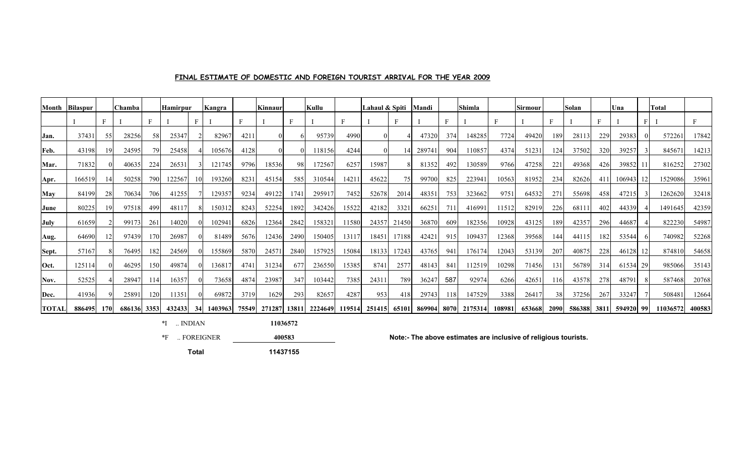## **FINAL ESTIMATE OF DOMESTIC AND FOREIGN TOURIST ARRIVAL FOR THE YEAR 2009**

| Month        | Bilaspur |     | Chamba      |        | <b>Hamirpur</b> |    | Kangra  |          | Kinnaur |      | Kullu                                    |       | Lahaul & Spiti |       | Mandi  |     | Shimla                    |        | <b>Sirmour</b> |     | Solan                   |     | Una    |      | <b>Total</b> |        |
|--------------|----------|-----|-------------|--------|-----------------|----|---------|----------|---------|------|------------------------------------------|-------|----------------|-------|--------|-----|---------------------------|--------|----------------|-----|-------------------------|-----|--------|------|--------------|--------|
|              |          |     |             |        |                 |    |         | $\Gamma$ |         |      |                                          | F     |                | F     |        | F   |                           | F      |                |     |                         | Ė   |        |      |              |        |
| Jan.         | 37431    | 55  | 28256       | 58.    | 25347           |    | 82967   | 421      |         |      | 95739                                    | 4990  |                |       | 47320  | 374 | 148285                    | 7724   | 49420          | 189 | 28113                   | 229 | 29383  |      | 572261       | 17842  |
| Feb.         | 43198    |     | 24595       |        | 25458           |    | 105676  | 4128     |         |      | 18156                                    | 4244  |                |       | 289741 | 904 | 110857                    | 4374   | 51231          | 124 | 37502                   | 320 | 39257  |      | 84567        | 14213  |
| Mar.         | 71832    |     | 40635       | 224    | 26531           |    | 121745  | 9796     | 18536   | 98   | 172567                                   | 6257  | 15987          |       | 81352  | 492 | 130589                    | 9766   | 47258          | 221 | 49368                   | 426 | 39852  |      | 816252       | 27302  |
| Apr.         | 166519   |     | 50258       | 790    | 122567          |    | 193260  | 8231     | 45154   | 585  | 310544                                   | 1421  | 45622          | 75    | 99700  | 825 | 223941                    | 10563  | 81952          | 234 | 82626                   | 411 | 106943 |      | 1529086      | 35961  |
| <b>May</b>   | 84199    | 28  | 70634       | 706    | 41255           |    | 129357  | 9234     | 49122   | 1741 | 295917                                   | 7452  | 52678          | 2014  | 48351  | 753 | 323662                    | 9751   | 64532          | 271 | 55698                   | 458 | 47215  |      | 1262620      | 32418  |
| <b>June</b>  | 80225    |     | 97518       | 499    | 48117           |    | 150312  | 8243     | 52254   | 1892 | 342426                                   | 15522 | 42182          | 332   | 66251  | 711 | 416991                    | 11512  | 82919          | 226 | 6811                    | 402 | 44339  |      | 1491645      | 42359  |
| July         | 61659    |     | 99173       | 261    | 14020           |    | 102941  | 6826     | 12364   | 2842 | 158321                                   | 11580 | 24357          | 21450 | 36870  | 609 | 182356                    | 10928  | 43125          | 189 | 42357                   | 296 | 44687  |      | 822230       | 54987  |
| Aug.         | 64690    |     | 97439       | 170    | 26987           |    | 81489   | 5676     | 12436   | 2490 | 150405                                   | 13117 | 18451          | 17188 | 42421  | 915 | 109437                    | 12368  | 39568          | 144 | 44115                   | 182 | 53544  |      | 740982       | 52268  |
| Sept.        | 57167    |     | 76495       | 182    | 24569           |    | 155869  | 5870     | 24571   | 2840 | 157925                                   | 15084 | 18133          | 17243 | 43765  | 941 | 176174                    | 12043  | 53139          | 207 | 40875                   | 228 | 46128  |      | 874810       | 54658  |
| Oct.         | 125114   |     | 46295       | 150    | 49874           |    | 136817  | 4741     | 31234   | 677  | 236550                                   | 15385 | 8741           | 2577  | 48143  | 841 | 112519                    | 10298  | 71456          | 131 | 56789                   | 314 | 61534  | 29   | 985066       | 35143  |
| Nov.         | 52525    |     | 28947       | l 14 I | 16357           |    | 73658   | 4874     | 23987   | 347  | 103442                                   | 7385  | 24311          | 789   | 36247  | 587 | 92974                     | 6266   | 42651          | 116 | 43578                   | 278 | 48791  |      | 587468       | 20768  |
| Dec.         | 41936    |     | 25891       | 120    | 11351           |    | 69872   | 3719     | 1629    | 293  | 82657                                    | 4287  | 953            | 418   | 29743  | 118 | 147529                    | 3388   | 26417          |     | 37256                   | 267 | 33247  |      | 508481       | 12664  |
| <b>TOTAL</b> | 886495   | 170 | 686136 3353 |        | 432433          | 34 | 1403963 |          |         |      | 75549 271287 13811 2224649 119514 251415 |       |                |       |        |     | 65101 869904 8070 2175314 | 108981 |                |     | 653668 2090 586388 3811 |     | 594920 | -991 | 11036572     | 400583 |

 $*$ I .. INDIAN

\*F .. FOREIGNER **Note:- The above estimates are inclusive of religious tourists.**

**Total 11437155**

**11036572 400583**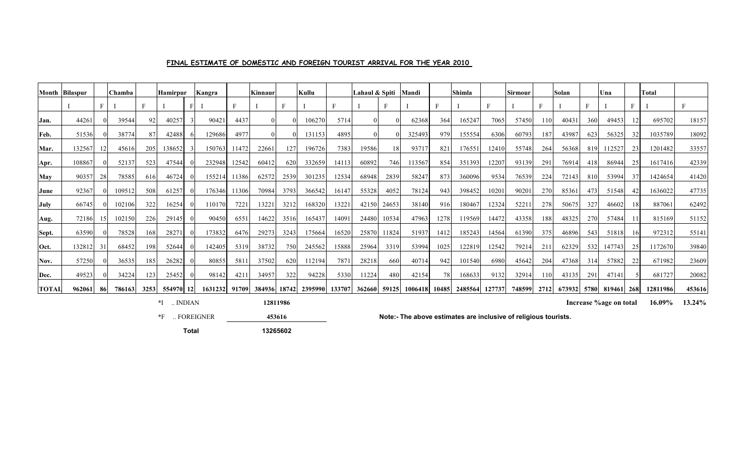|              | Month Bilaspur |     | <b>Chamba</b> |      | <b>Hamirpur</b> |      | Kangra  |       | Kinnaur |      | Kullu         |        | Lahaul & Spiti |       | Mandi   |       | <b>Shimla</b> |        | Sirmour |      | Solan  |      | Una    |     | <b>Total</b> |        |
|--------------|----------------|-----|---------------|------|-----------------|------|---------|-------|---------|------|---------------|--------|----------------|-------|---------|-------|---------------|--------|---------|------|--------|------|--------|-----|--------------|--------|
|              |                | F.  |               |      |                 |      |         | E     |         |      |               |        |                | Е     |         |       |               | E      |         |      |        |      |        |     |              |        |
| Jan.         | 44261          |     | 39544         | 92   | 40257           |      | 90421   | 4437  |         |      | 106270        | 5714   |                |       | 62368   | 364   | 165247        | 7065   | 57450   | 110  | 40431  | 360  | 49453  |     | 695702       | 18157  |
| Feb.         | 51536          |     | 38774         |      | 42488           |      | 129686  | 4977  |         |      | 131153        | 4895   |                |       | 325493  | 979   | 155554        | 6306   | 60793   | 187  | 43987  | 623  | 56325  | 32  | 1035789      | 18092  |
| Mar.         | 132567         |     | 45616         | 205  | 138652          |      | 150763  | 11472 | 22661   | 127  | 196726        | 7383   | 19586          | 18    | 93717   | 821   | 176551        | 12410  | 55748   | 264  | 56368  | 819  | 112527 | 23  | 1201482      | 33557  |
| Apr.         | 108867         |     | 52137         | 523  | 47544           |      | 232948  | 12542 | 60412   | 620  | 332659        | 14113  | 60892          | 746   | 113567  | 854   | 351393        | 12207  | 93139   | 291  | 76914  | 418  | 86944  | 25  | 1617416      | 42339  |
| <b>May</b>   | 90357          | 28  | 78585         | 616  | 46724           |      | 155214  | 11386 | 62572   | 2539 | 301235        | 12534  | 68948          | 2839  | 58247   | 873   | 360096        | 9534   | 76539   | 224  | 72143  | 810  | 53994  | 37  | 1424654      | 41420  |
| June         | 92367          |     | 109512        | 508  | 61257           |      | 176346  | 11306 | 70984   | 3793 | 366542        | 16147  | 55328          | 4052  | 78124   | 943   | 398452        | 10201  | 90201   | 270  | 85361  | 473  | 51548  | 42  | 1636022      | 47735  |
| July         | 66745          |     | 102106        | 322  | 16254           |      | 11017   | 7221  | 13221   | 3212 | 168320        | 13221  | 42150          | 24653 | 38140   | 916   | 180467        | 12324  | 5221    | 278  | 50675  | 327  | 46602  |     | 887061       | 62492  |
| Aug.         | 72186          |     | 102150        | 226  | 29145           |      | 90450   | 6551  | 14622   | 3516 | 165437        | 14091  | 24480          | 10534 | 47963   | 1278  | 119569        | 14472  | 43358   | 188  | 48325  | 270  | 57484  |     | 815169       | 51152  |
| Sept.        | 63590          |     | 78528         | 168  | 28271           |      | 173832  | 6476  | 29273   | 3243 | 175664        | 16520  | 25870          | 11824 | 51937   | 1412  | 185243        | 14564  | 61390   | 375  | 46896  | 543  | 51818  | 161 | 972312       | 55141  |
| Oct.         | 132812         | 31  | 68452         | 198  | 52644           |      | 142405  | 5319  | 38732   | 750  | 245562        | 15888  | 25964          | 3319  | 53994   | 1025  | 122819        | 12542  | 79214   | 211  | 62329  | 532  | 147743 | 25  | 1172670      | 39840  |
| Nov.         | 57250          |     | 36535         | 185  | 26282           |      | 80855   | 5811  | 37502   | 620  | 112194        | 7871   | 28218          | 660   | 40714   | 942   | 101540        | 6980   | 45642   | 204  | 47368  | 314  | 57882  | 22  | 671982       | 23609  |
| Dec.         | 49523          |     | 34224         | 123  | 25452           |      | 98142   | 4211  | 34957   | 322  | 94228         | 5330   | 11224          | 480   | 42154   | 78    | 168633        | 9132   | 32914   | 110  | 43135  | 291  | 47141  |     | 681727       | 20082  |
| <b>TOTAL</b> | 962061         | -86 | 786163        | 3253 | 554970          | 12 I | 1631232 | 91709 | 384936  |      | 18742 2395990 | 133707 | 362660         | 59125 | 1006418 | 10485 | 2485564       | 127737 | 748599  | 2712 | 673932 | 5780 | 819461 | 268 | 12811986     | 453616 |

\*I .. INDIAN **16.09% 13.24% 12811986 Increase %age on total** 

\*F .. FOREIGNER **Note:- The above estimates are inclusive of religious tourists.**

**Total 13265602**

**453616**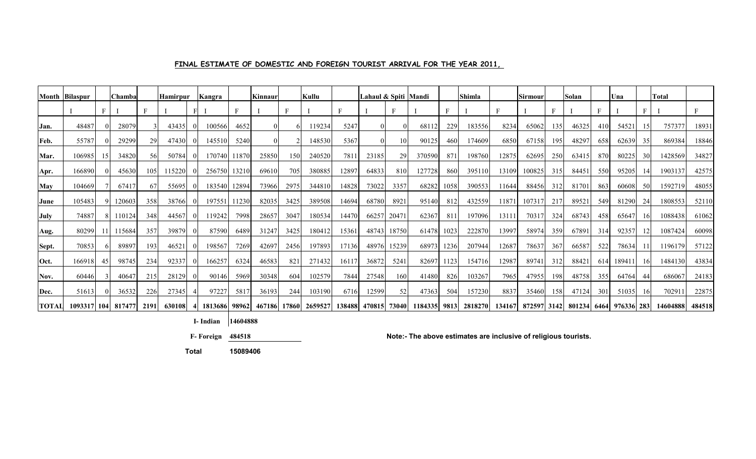# **FINAL ESTIMATE OF DOMESTIC AND FOREIGN TOURIST ARRIVAL FOR THE YEAR 2011,**

|       | <b>Month Bilaspur</b>  |    | <b>Chamba</b> |      | <b>Hamirpur</b> | <b>Kangra</b> |       | Kinnaur |      | Kullu                |       | Lahaul & Spiti  Mandi |       |         |      | <b>Shimla</b> |       | Sirmour |     | Solan                                     |     | Una   |    | <b>Total</b> |        |
|-------|------------------------|----|---------------|------|-----------------|---------------|-------|---------|------|----------------------|-------|-----------------------|-------|---------|------|---------------|-------|---------|-----|-------------------------------------------|-----|-------|----|--------------|--------|
|       |                        | F  |               |      |                 |               |       |         |      |                      |       |                       |       |         | F    |               |       |         |     |                                           |     |       |    |              |        |
| Jan.  | 48487                  |    | 28079         |      | 43435           | 100566        | 4652  |         |      | 119234               | 5247  | $\overline{0}$        |       | 68112   | 229  | 183556        | 8234  | 65062   | 135 | 46325                                     | 410 | 54521 | 15 | 757377       | 18931  |
| Feb.  | 55787                  |    | 29299         | 29   | 47430           | 145510        | 5240  |         |      | 148530               | 5367  | $\Omega$              | 10    | 90125   | 460  | 174609        | 6850  | 67158   | 195 | 48297                                     | 658 | 62639 | 35 | 869384       | 18846  |
| Mar.  | 106985                 |    | 34820         | 561  | 50784           | 170740        | 11870 | 25850   | 150  | 240520               | 781   | 23185                 | 29    | 370590  | 871  | 198760        | 12875 | 62695   | 250 | 63415                                     | 870 | 80225 | 30 | 1428569      | 34827  |
| Apr.  | 166890                 |    | 45630         | 105  | 115220          | 256750        | 13210 | 69610   | 705  | 380885               | 1289  | 64833                 | 810   | 127728  | 860  | 395110        | 13109 | 100825  | 315 | 84451                                     | 550 | 95205 | 14 | 1903137      | 42575  |
| May   | 104669                 |    | 67417         | 67   | 55695           | 183540        | 12894 | 73966   | 2975 | 344810               | 14828 | 73022                 | 3357  | 68282   | 1058 | 390553        | 11644 | 88456   | 312 | 81701                                     | 863 | 60608 | 50 | 1592719      | 48055  |
| June  | 105483                 |    | 120603        | 358  | 38766           | 197551        | 11230 | 82035   | 3425 | 389508               | 14694 | 68780                 | 8921  | 95140   | 812  | 432559        | 11871 | 107317  | 217 | 89521                                     | 549 | 81290 | 24 | 1808553      | 52110  |
| July  | 74887                  |    | 110124        | 348  | 44567           | 119242        | 7998  | 28657   | 3047 | 180534               | 14470 | 66257                 | 20471 | 62367   | 811  | 197096        | 13111 | 70317   | 324 | 68743                                     | 458 | 65647 | 16 | 1088438      | 61062  |
| Aug.  | 80299                  |    | 115684        | 357  | 39879           | 87590         | 6489  | 31247   | 3425 | 180412               | 15361 | 48743                 | 18750 | 61478   | 1023 | 222870        | 13997 | 58974   | 359 | 67891                                     | 314 | 92357 | 12 | 1087424      | 60098  |
| Sept. | 70853                  |    | 89897         | 193  | 46521           | 198567        | 7269  | 42697   | 2456 | 197893               | 17136 | 48976                 | 15239 | 68973   | 1236 | 207944        | 12687 | 78637   | 367 | 66587                                     | 522 | 78634 |    | 1196179      | 57122  |
| Oct.  | 166918                 | 45 | 98745         | 234  | 92337           | 166257        | 6324  | 46583   | 821  | 271432               | 16117 | 36872                 | 5241  | 82697   | 1123 | 154716        | 12987 | 89741   | 312 | 88421                                     | 614 | 18941 | 16 | 1484130      | 43834  |
| Nov.  | 60446                  |    | 40647         | 215  | 28129           | 90146         | 5969  | 30348   | 604  | 102579               | 7844  | 27548                 | 160   | 41480   | 826  | 103267        | 7965  | 47955   | 198 | 48758                                     | 355 | 64764 | 44 | 686067       | 24183  |
| Dec.  | 51613                  |    | 36532         | 226  | 27345           | 97227         | 5817  | 36193   | 244  | 103190               | 6716  | 12599                 | 52    | 47363   | 504  | 157230        | 8837  | 35460   | 158 | 47124                                     | 301 | 51035 | 16 | 70291        | 22875  |
| TOTAL | 1093317   104   817477 |    |               | 2191 | 630108          | 1813686 98962 |       |         |      | 467186 17860 2659527 |       | 138488 470815 73040   |       | 1184335 |      | 9813 2818270  |       |         |     | 134167 872597 3142 801234 6464 976336 283 |     |       |    | 14604888     | 484518 |

**I- Indian 14604888**

 **F- Foreign 484518**

**Note:- The above estimates are inclusive of religious tourists.**

 **Total 15089406**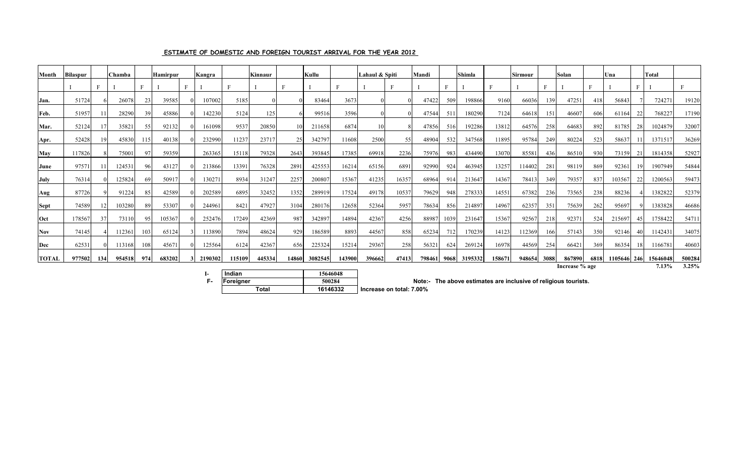| Month        | <b>Bilaspur</b> |     | <b>Chamba</b> |     | <b>Hamirpur</b> |   | Kangra  |        | Kinnaur |       | Kullu   |        | Lahaul & Spiti |       | Mandi  |      | <b>Shimla</b> |        | Sirmour |      | Solan          |      | Una         |    | Total    |        |
|--------------|-----------------|-----|---------------|-----|-----------------|---|---------|--------|---------|-------|---------|--------|----------------|-------|--------|------|---------------|--------|---------|------|----------------|------|-------------|----|----------|--------|
|              |                 |     |               | Е.  |                 | F |         |        |         |       |         |        |                | F     |        | F    |               | Е      |         | Е    |                |      |             |    |          |        |
| Jan.         | 51724           |     | 26078         | 23  | 39585           |   | 107002  | 5185   |         |       | 83464   | 3673   |                |       | 47422  | 509  | 198866        | 9160   | 66036   | 139  | 47251          | 418  | 56843       |    | 724271   | 19120  |
| Feb.         | 51957           |     | 28290         | 39  | 45886           |   | 142230  | 5124   | 125     |       | 99516   | 3596   |                |       | 47544  | 511  | 180290        | 7124   | 64618   | 151  | 46607          | 606  | 61164       | 22 | 768227   | 17190  |
| Mar.         | 52124           |     | 35821         | 55  | 92132           |   | 161098  | 9537   | 20850   |       | 211658  | 6874   |                |       | 47856  | 516  | 192286        | 13812  | 64576   | 258  | 64683          | 892  | 81785       |    | 1024879  | 32007  |
| Apr.         | 52428           |     | 45830         | 115 | 40138           |   | 232990  | 11237  | 23717   | 25    | 342797  | 11608  | 2500           | 55    | 48904  | 532  | 347568        | 11895  | 95784   | 249  | 80224          | 523  | 58637       |    | 1371517  | 36269  |
| May          | 117826          |     | 75001         | 97  | 59359           |   | 263365  | 15118  | 79328   | 2643  | 393845  | 17385  | 69918          | 2236  | 75976  | 983  | 434490        | 13070  | 85581   | 436  | 86510          | 930  | 73159       | 21 | 1814358  | 52927  |
| June         | 97571           |     | 124531        | 96  | 43127           |   | 213866  | 13391  | 76328   | 2891  | 425553  | 16214  | 65156          | 6891  | 92990  | 924  | 463945        | 13257  | 114402  | 281  | 98119          | 869  | 92361       |    | 1907949  | 54844  |
| July         | 76314           |     | 125824        | 69  | 50917           |   | 130271  | 8934   | 31247   | 2257  | 200807  | 15367  | 41235          | 16357 | 68964  | 914  | 213647        | 14367  | 78413   | 349  | 79357          | 837  | 103567      |    | 1200563  | 59473  |
| Aug          | 87726           |     | 91224         | 85  | 42589           |   | 202589  | 6895   | 32452   | 1352  | 289919  | 17524  | 49178          | 10537 | 79629  | 948  | 278333        | 14551  | 67382   | 236  | 73565          | 238  | 88236       |    | 1382822  | 52379  |
| <b>Sept</b>  | 74589           |     | 103280        | 89  | 53307           |   | 244961  | 8421   | 47927   | 3104  | 280176  | 12658  | 52364          | 5957  | 78634  | 856  | 214897        | 14967  | 62357   | 351  | 75639          | 262  | 95697       |    | 1383828  | 46686  |
| Oct          | 178567          | 37  | 73110         | 95  | 105367          |   | 252476  | 17249  | 42369   | 987   | 342897  | 14894  | 42367          | 4256  | 88987  | 1039 | 231647        | 15367  | 92567   | 218  | 92371          | 524  | 215697      |    | 1758422  | 54711  |
| Nov          | 74145           |     | 112361        | 103 | 65124           |   | 113890  | 7894   | 48624   | 929   | 186589  | 8893   | 44567          | 858   | 65234  | 712  | 170239        | 14123  | 112369  | 166  | 57143          | 350  | 92146       |    | 1142431  | 34075  |
| Dec          | 62531           |     | 113168        | 108 | 45671           |   | 125564  | 6124   | 42367   | 656   | 225324  | 15214  | 29367          | 258   | 56321  | 624  | 269124        | 16978  | 44569   | 254  | 66421          | 369  | 86354       |    | 1166781  | 40603  |
| <b>TOTAL</b> | 977502          | 134 | 954518        | 974 | 683202          |   | 2190302 | 115109 | 445334  | 14860 | 3082545 | 143900 | 396662         | 47413 | 798461 | 9068 | 3195332       | 158671 | 948654  | 3088 | 867890         | 6818 | 1105646 246 |    | 15646048 | 500284 |
|              |                 |     |               |     |                 |   |         |        |         |       |         |        |                |       |        |      |               |        |         |      | Increase % age |      |             |    | $7.13\%$ | 3.25%  |

#### **ESTIMATE OF DOMESTIC AND FOREIGN TOURIST ARRIVAL FOR THE YEAR 2012**

For a Foreign Line above estimates are inclusive of religious tourists.<br>Total 16146332 **Total 16146332** Increase on total: 7.00%  **I-** Indian 15646048<br> **F-** Foreigner 500284 **Foreigner Total 16146332**

 **Increase on total: 7.00%**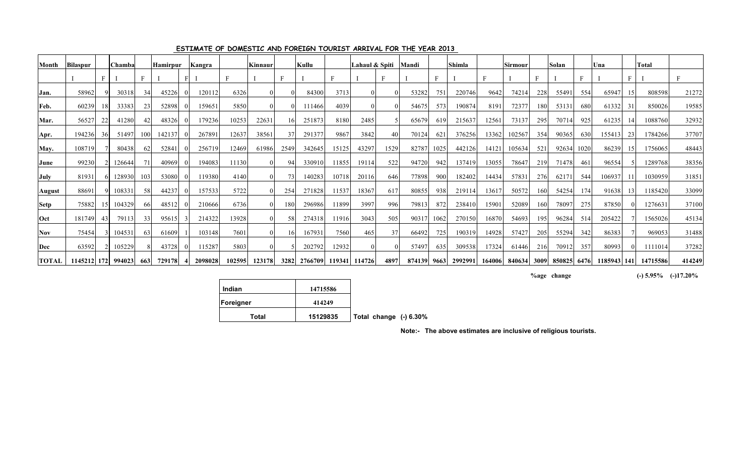| Month         | <b>Bilaspur</b> |      | <b>Chamba</b> |     | <b>Hamirpur</b> | Kangra  |        | Kinnaur |                 | Kullu        |              | Lahaul & Spiti |      | Mandi  |      | <b>Shimla</b> |        | <b>Sirmour</b> |     | Solan |      | Una                     |    | <b>Total</b> |        |
|---------------|-----------------|------|---------------|-----|-----------------|---------|--------|---------|-----------------|--------------|--------------|----------------|------|--------|------|---------------|--------|----------------|-----|-------|------|-------------------------|----|--------------|--------|
|               |                 |      |               |     |                 |         |        |         |                 |              | $\mathbf{F}$ |                | D    |        |      |               | Е      |                |     |       |      |                         |    |              |        |
| Jan.          | 58962           |      | 30318         | 34  | 45226           | 120112  | 6326   |         |                 | 84300        | 3713         |                |      | 53282  | 751  | 220746        | 9642   | 74214          | 228 | 55491 | 554  | 65947                   | 15 | 808598       | 21272  |
| Feb.          | 60239           | 18.  | 33383         | 23  | 52898           | 159651  | 5850   |         |                 | 111466       | 4039         |                |      | 54675  | 573  | 190874        | 8191   | 72377          | 180 | 53131 | 680  | 61332                   | 31 | 850026       | 19585  |
| Mar.          | 56527           |      | 41280         |     | 48326           | 179236  | 10253  | 22631   | 16 <sup>1</sup> | 251873       | 8180         | 2485           |      | 65679  | 619  | 215637        | 12561  | 73137          | 295 | 70714 | 925  | 61235                   | 14 | 1088760      | 32932  |
| Apr.          | 194236          | 361  | 51497         | 100 | 142137          | 267891  | 12637  | 38561   | 37              | 291377       | 9867         | 3842           | 40   | 70124  | 621  | 376256        | 13362  | 102567         | 354 | 90365 | 630  | 155413                  | 23 | 1784266      | 37707  |
| May.          | 108719          |      | 80438         | -62 | 52841           | 256719  | 12469  | 61986   | 2549            | 342645       | 15125        | 43297          | 1529 | 82787  | 1025 | 442126        | 14121  | 105634         | 521 | 92634 | 1020 | 86239                   | 15 | 1756065      | 48443  |
| June          | 99230           |      | 126644        | 71  | 40969           | 194083  | 11130  |         | 94              | 330910       | 11855        | 19114          | 522  | 94720  | 942  | 137419        | 13055  | 78647          | 219 | 71478 | 461  | 96554                   |    | 1289768      | 38356  |
| <b>July</b>   | 81931           |      | 128930        | 103 | 53080           | 119380  | 4140   |         | 73              | 140283       | 10718        | 20116          | 646  | 77898  | 900  | 182402        | 14434  | 57831          | 276 | 62171 | 544  | 106937                  |    | 1030959      | 31851  |
| <b>August</b> | 88691           |      | 108331        | -58 | 44237           | 157533  | 5722   |         | 254             | 271828       | 11537        | 18367          | 617  | 80855  | 938  | 219114        | 13617  | 50572          | 160 | 54254 | 174  | 91638                   | 13 | 1185420      | 33099  |
| <b>Setp</b>   | 75882           | -151 | 104329        | 66  | 48512           | 210666  | 6736   |         | 180             | 296986       | 11899        | 3997           | 996  | 79813  | 872  | 238410        | 15901  | 52089          | 160 | 78097 | 275  | 87850                   |    | 1276631      | 37100  |
| <b>Oct</b>    | 181749          | 43   | 79113         | 33  | 95615           | 214322  | 13928  |         | 58              | 274318       | 11916        | 3043           | 505  | 90317  | 1062 | 270150        | 16870  | 54693          | 195 | 96284 | 514  | 205422                  |    | 1565026      | 45134  |
| <b>Nov</b>    | 75454           |      | 104531        | 63  | 61609           | 103148  | 7601   |         | 16              | 167931       | 7560         | 465            | 37   | 66492  | 725  | 190319        | 14928  | 57427          | 205 | 55294 | 342  | 86383                   |    | 969053       | 31488  |
| Dec           | 63592           |      | 105229        |     | 43728           | 115287  | 5803   |         |                 | 202792       | 12932        |                |      | 57497  | 635  | 309538        | 17324  | 61446          | 216 | 70912 | 357  | 80993                   |    | 1111014      | 37282  |
| <b>TOTAL</b>  | 1145212 172     |      | 994023        | 663 | 729178          | 2098028 | 102595 | 123178  |                 | 3282 2766709 |              | 119341 114726  | 4897 | 874139 | 9663 | 2992991       | 164006 | 840634 3009    |     |       |      | 850825 6476 1185943 141 |    | 14715586     | 414249 |

### **ESTIMATE OF DOMESTIC AND FOREIGN TOURIST ARRIVAL FOR THE YEAR 2013**

**%age change (-) 5.95% (-)17.20%**

| Indian    | 14715586 |                          |  |
|-----------|----------|--------------------------|--|
| Foreigner | 414249   |                          |  |
| Total     | 15129835 | Total change $(-)$ 6.30% |  |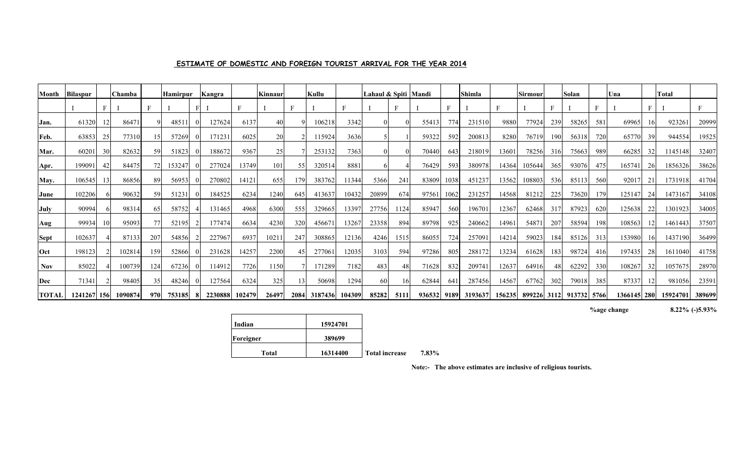## **ESTIMATE OF DOMESTIC AND FOREIGN TOURIST ARRIVAL FOR THE YEAR 2014**

| Month        | <b>Bilaspur</b> |                | Chamba  |     | <b>Hamirpur</b> | Kangra  |        | Kinnaur |     | Kullu        |        | Lahaul & Spiti Mandi |      |             |      | <b>Shimla</b> |        | Sirmoui |     | Solan                   |     | Una           |     | <b>Total</b> |              |
|--------------|-----------------|----------------|---------|-----|-----------------|---------|--------|---------|-----|--------------|--------|----------------------|------|-------------|------|---------------|--------|---------|-----|-------------------------|-----|---------------|-----|--------------|--------------|
|              |                 |                |         |     |                 |         |        |         | F   |              | F      |                      |      |             |      |               |        |         |     |                         |     |               |     |              | $\mathbf{F}$ |
| Jan.         | 61320           |                | 86471   |     | 4851            | 127624  | 6137   | 40      |     | 106218       | 3342   |                      |      | 55413       | 774  | 231510        | 9880   | 77924   | 239 | 58265                   | 581 | 69965         | 16  | 923261       | 20999        |
| Feb.         | 63853           |                | 77310   |     | 57269           | 171231  | 6025   | 20      |     | 115924       | 3636   |                      |      | 59322       | 592  | 200813        | 8280   | 76719   | 190 | 56318                   | 720 | 65770         | 39  | 944554       | 19525        |
| Mar.         | 60201           | 3 <sup>0</sup> | 82632   | 59  | 51823           | 188672  | 9367   | 25      |     | 253132       | 7363   |                      |      | 70440       | 643  | 218019        | 13601  | 78256   | 316 | 75663                   | 989 | 66285         | 32  | 1145148      | 32407        |
| Apr.         | 199091          | 4              | 84475   | 72  | 153247          | 277024  | 13749  | 101     | 55  | 320514       | 8881   |                      |      | 76429       | 593  | 380978        | 14364  | 105644  | 365 | 93076                   | 475 | 165741        | 26  | 1856326      | 38626        |
| May.         | 106545          |                | 86856   | 89  | 56953           | 270802  | 14121  | 655     | 179 | 383762       | 11344  | 5366                 | 241  | 83809       | 1038 | 451237        | 13562  | 108803  | 536 | 85113                   | 560 | 92017         | 21  | 1731918      | 41704        |
| June         | 102206          |                | 90632   | 59  | 51231           | 184525  | 6234   | 1240    | 645 | 413637       | 10432  | 20899                | 674  | 97561       | 1062 | 231257        | 14568  | 81212   | 225 | 73620                   | 179 | 125147        | 24  | 1473167      | 34108        |
| July         | 90994           |                | 98314   | 65  | 58752           | 131465  | 4968   | 6300    | 555 | 329665       | 13397  | 27756                | 1124 | 85947       | 560  | 196701        | 12367  | 62468   | 317 | 87923                   | 620 | 125638        | 22  | 1301923      | 34005        |
| Aug          | 99934           |                | 95093   | 77  | 52195           | 177474  | 6634   | 4230    | 320 | 456671       | 13267  | 23358                | 894  | 89798       | 925  | 240662        | 14961  | 54871   | 207 | 58594                   | 198 | 108563        | 12  | 1461443      | 37507        |
| Sept         | 102637          |                | 87133   | 207 | 54856           | 227967  | 6937   | 1021    | 247 | 308865       | 12136  | 4246                 | 1515 | 86055       | 724  | 257091        | 14214  | 59023   | 184 | 85126                   | 313 | 153980        | -16 | 1437190      | 36499        |
| Oct          | 198123          |                | 102814  | 159 | 52866           | 231628  | 14257  | 2200    | 45  | 277061       | 12035  | 3103                 | 594  | 97286       | 805  | 288172        | 13234  | 61628   | 183 | 98724                   | 416 | 197435        | -28 | 1611040      | 41758        |
| Nov          | 85022           |                | 100739  | 124 | 67236           | 114912  | 7726   | 1150    |     | 171289       | 7182   | 483                  | 48   | 71628       | 832  | 209741        | 12637  | 64916   | 48  | 62292                   | 330 | 108267        | 32  | 1057675      | 28970        |
| Dec          | 71341           |                | 98405   | 35  | 48246           | 127564  | 6324   | 325     | 3   | 50698        | 1294   | 60                   | 16   | 62844       | 641  | 287456        | 14567  | 67762   | 302 | 79018                   | 385 | 87337         | 12  | 981056       | 23591        |
| <b>TOTAL</b> | 1241267   156   |                | 1090874 | 970 | 753185          | 2230888 | 102479 | 26497   |     | 2084 3187436 | 104309 | 85282                | 5111 | 936532 9189 |      | 3193637       | 156235 |         |     | 899226 3112 913732 5766 |     | 1366145   280 |     | 15924701     | 389699       |

**%age change 8.22% (-)5.93%**

| Indian    | 15924701 |                       |
|-----------|----------|-----------------------|
| Foreigner | 389699   |                       |
| Total     | 16314400 | <b>Total increase</b> |

**se** 7.83%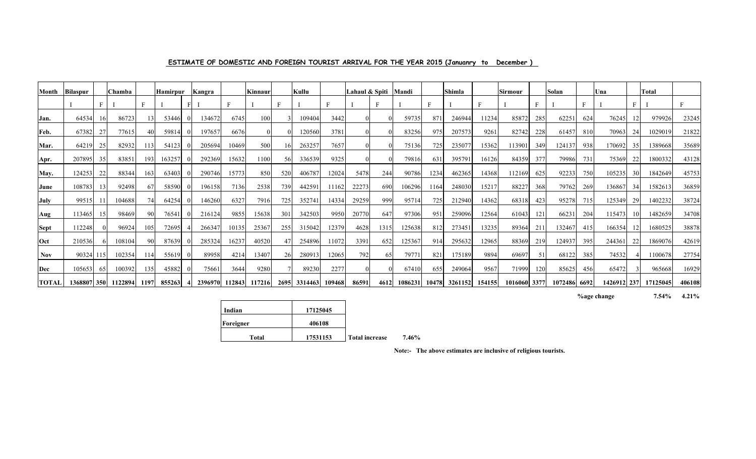| Month        | Bilaspur |     | <b>Chamba</b> |      | Hamirpur | Kangra  |        | Kinnaur |      | Kullu   |        | Lahaul & Spiti |      | Mandi   |       | Shimla  |        | Sirmour      |     | Solan        |     | <b>U</b> na |    | <b>Total</b> |        |
|--------------|----------|-----|---------------|------|----------|---------|--------|---------|------|---------|--------|----------------|------|---------|-------|---------|--------|--------------|-----|--------------|-----|-------------|----|--------------|--------|
|              |          |     |               |      |          |         |        |         |      |         |        |                |      |         | F     |         |        |              |     |              |     |             |    |              |        |
| Jan.         | 64534    | 16  | 86723         |      | 53446    | 134672  | 6745   | 100     |      | 109404  | 3442   |                |      | 59735   | 87    | 246944  | 11234  | 85872        | 285 | 62251        | 624 | 76245       |    | 979926       | 23245  |
| Feb.         | 67382    |     | 77615         |      | 59814    | 197657  | 6676   |         |      | 120560  | 3781   |                |      | 83256   | 975   | 207573  | 9261   | 82742        | 228 | 61457        | 810 | 70963       | 24 | 1029019      | 21822  |
| Mar.         | 64219    | 25  | 82932         | 113  | 54123    | 205694  | 10469  | 500     |      | 263257  | 7657   |                |      | 75136   | 725   | 235077  | 15362  | 113901       | 349 | 124137       | 938 | 170692      | 35 | 1389668      | 35689  |
| Apr.         | 207895   | 35  | 83851         | 193  | 163257   | 292369  | 15632  | 1100    | 56   | 336539  | 9325   |                |      | 79816   | 631   | 395791  | 16126  | 84359        | 377 | 79986        | 731 | 75369       | 22 | 1800332      | 43128  |
| May.         | 124253   | 22  | 88344         | 163  | 63403    | 290746  | 15773  | 850     | 520  | 406787  | 12024  | 5478           | 244  | 90786   | 1234  | 462365  | 14368  | 112169       | 625 | 92233        | 750 | 105235      | 30 | 1842649      | 45753  |
| June         | 108783   | 13  | 92498         | 67   | 58590    | 196158  | 7136   | 2538    | 739  | 442591  | 11162  | 22273          | 690  | 106296  | 1164  | 248030  | 15217  | 88227        | 368 | 79762        | 269 | 136867      | 34 | 1582613      | 36859  |
| July         | 99515    | 11  | 104688        |      | 64254    | 146260  | 6327   | 7916    | 725  | 352741  | 14334  | 29259          | 999  | 95714   | 725   | 212940  | 14362  | 68318        | 423 | 95278        | 715 | 125349      | 29 | 1402232      | 38724  |
| Aug          | 113465   | 15  | 98469         | 90   | 76541    | 216124  | 9855   | 15638   | 301  | 342503  | 9950   | 20770          | 647  | 97306   | 951   | 259096  | 12564  | 61043        | 121 | 66231        | 204 | 115473      | 10 | 1482659      | 34708  |
| <b>Sept</b>  | 112248   |     | 96924         | 105  | 72695    | 266347  | 10135  | 25367   | 255  | 315042  | 12379  | 4628           | 1315 | 125638  | 812   | 273451  | 13235  | 89364        | 211 | 132467       | 415 | 166354      |    | 1680525      | 38878  |
| Oct          | 210536   |     | 108104        | 901  | 87639    | 285324  | 16237  | 40520   |      | 254896  | 11072  | 3391           | 652  | 125367  | 914   | 295632  | 12965  | 88369        | 219 | 124937       | 395 | 244361      | 22 | 1869076      | 42619  |
| <b>Nov</b>   | 90324    | 115 | 102354        | 114  | 55619    | 89958   | 4214   | 13407   |      | 280913  | 12065  | 792            | 65   | 7977    | 821   | 175189  | 9894   | 69697        | 51  | 68122        | 385 | 74532       |    | 1100678      | 27754  |
| Dec          | 105653   | -65 | 100392        | 135  | 45882    | 75661   | 3644   | 9280    |      | 89230   | 2277   |                |      | 67410   | 655   | 249064  | 9567   | 71999        | 120 | 85625        | 456 | 65472       |    | 965668       | 16929  |
| <b>TOTAL</b> | 1368807  | 350 | 1122894       | 1197 | 855263   | 2396970 | 112843 | 117216  | 2695 | 3314463 | 109468 | 86591          | 4612 | 1086231 | 10478 | 3261152 | 154155 | 1016060 3377 |     | 1072486 6692 |     | 1426912 237 |    | 17125045     | 406108 |

### **ESTIMATE OF DOMESTIC AND FOREIGN TOURIST ARRIVAL FOR THE YEAR 2015 (Januanry to December )**

**%age change 7.54% 4.21%**

| Indian    | 17125045 |                       |
|-----------|----------|-----------------------|
| Foreigner | 406108   |                       |
| Total     | 17531153 | <b>Total increase</b> |

**7.46%**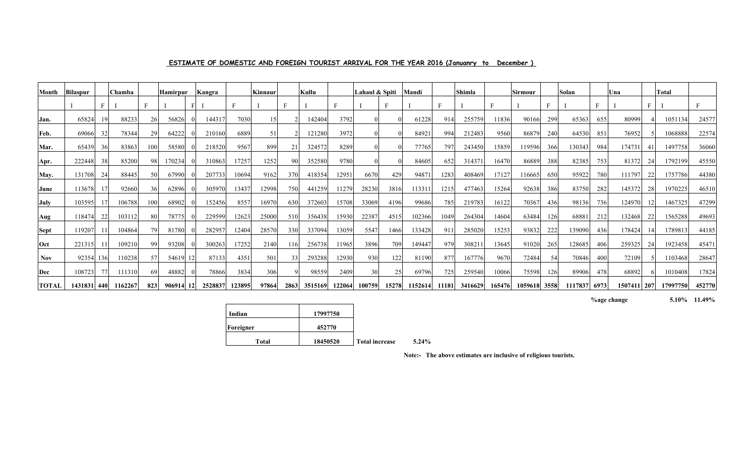| Month        | <b>Bilaspur</b> |     | l Chamba |     | Hamirpur |    | Kangra  |        | Kinnaur |      | Kullu   |        | Lahaul & Spiti |       | Mandi   |       | Shimla  |        | Sirmour      |     | Solan   |      | Una         |     | Total    |        |
|--------------|-----------------|-----|----------|-----|----------|----|---------|--------|---------|------|---------|--------|----------------|-------|---------|-------|---------|--------|--------------|-----|---------|------|-------------|-----|----------|--------|
|              |                 |     |          |     |          |    |         |        |         |      |         |        |                |       |         | F     |         |        |              |     |         | Е    |             | E   |          | Е      |
| Jan.         | 65824           | -19 | 88233    | 26  | 56826    |    | 144317  | 7030   | 15      |      | 142404  | 3792   |                |       | 61228   | 914   | 255759  | 11836  | 90166        | 299 | 65363   | 655  | 80999       |     | 1051134  | 24577  |
| Feb.         | 69066           | 32  | 78344    |     | 64222    |    | 210160  | 6889   | 51      |      | 121280  | 3972   |                |       | 84921   | 994   | 212483  | 9560   | 86879        | 240 | 64530   | 851  | 76952       |     | 1068888  | 22574  |
| Mar.         | 65439           | 36  | 83863    | 100 | 58580    |    | 218520  | 9567   | 899     | 21   | 324572  | 8289   |                |       | 77765   | 797   | 243450  | 15859  | 119596       | 366 | 130343  | 984  | 174731      | 41  | 1497758  | 36060  |
| Apr.         | 222448          | 38  | 85200    |     | 170234   |    | 310863  | 17257  | 1252    | 90   | 352580  | 9780   |                |       | 84605   | 652   | 314371  | 16470  | 86889        | 388 | 82385   | 753  | 81372       | -24 | 1792199  | 45550  |
| May.         | 131708          | 24  | 88445    |     | 67990    |    | 207733  | 10694  | 9162    | 370  | 418354  | 12951  | 6670           | 429   | 94871   | 1283  | 408469  | 17127  | 116665       | 650 | 95922   | 780  | 111797      | 22  | 1757786  | 44380  |
| June         | 113678          |     | 92660    |     | 62896    |    | 305970  | 13437  | 12998   | 750  | 441259  | 11279  | 28230          | 3816  | 113311  | 1215  | 477463  | 15264  | 92638        | 386 | 83750   | 282  | 145372      | 28  | 1970225  | 46510  |
| July         | 103595          |     | 106788   | 100 | 68902    |    | 152456  | 8557   | 16970   | 630  | 372603  | 15708  | 33069          | 4196  | 99686   | 785   | 219783  | 16122  | 70367        | 436 | 98136   | 736  | 124970      |     | 1467325  | 47299  |
| Aug          | 118474          | 22  | 103112   | 80  | 78775    |    | 229599  | 12623  | 25000   | 510  | 356438  | 15930  | 22387          | 4515  | 102366  | 1049  | 264304  | 14604  | 63484        | 126 | 68881   | 212  | 132468      | 22  | 1565288  | 49693  |
| <b>Sept</b>  | 119207          |     | 104864   |     | 81780    |    | 282957  | 12404  | 28570   | 330  | 337094  | 13059  | 5547           | 1466  | 133428  | 911   | 285020  | 15253  | 93832        | 222 | 139090  | 436  | 178424      |     | 1789813  | 44185  |
| Oct          | 221315          |     | 109210   | 99  | 93208    |    | 300263  | 17252  | 2140    | 116  | 256738  | 11965  | 3896           | 709   | 149447  | 979   | 308211  | 13645  | 91020        | 265 | 128685  | 406  | 259325      | 24  | 1923458  | 45471  |
| <b>Nov</b>   | 92354           | 136 | 110238   |     | 54619    |    | 87133   | 4351   | 501     | 33   | 293288  | 12930  | 930            | 122   | 81190   | 877   | 167776  | 9670   | 72484        | 54  | 70846   | 400  | 72109       |     | 1103468  | 28647  |
| Dec          | 108723          | 77  | 111310   | 69  | 48882    |    | 78866   | 3834   | 306     |      | 98559   | 2409   | 30             | 25    | 69796   | 725   | 259540  | 10066  | 75598        | 126 | 89906   | 478  | 68892       |     | 1010408  | 17824  |
| <b>TOTAL</b> | 1431831         | 440 | 1162267  | 823 | 906914   | 12 | 2528837 | 123895 | 97864   | 2863 | 3515169 | 122064 | 100759         | 15278 | 1152614 | 11181 | 3416629 | 165476 | 1059618 3558 |     | 1117837 | 6973 | 1507411 207 |     | 17997750 | 452770 |

## **ESTIMATE OF DOMESTIC AND FOREIGN TOURIST ARRIVAL FOR THE YEAR 2016 (Januanry to December )**

**%age change 5.10% 11.49%**

| Indian    | 17997750 |                       |
|-----------|----------|-----------------------|
| Foreigner | 452770   |                       |
| Total     | 18450520 | <b>Total increase</b> |

 **Total increase 5.24%**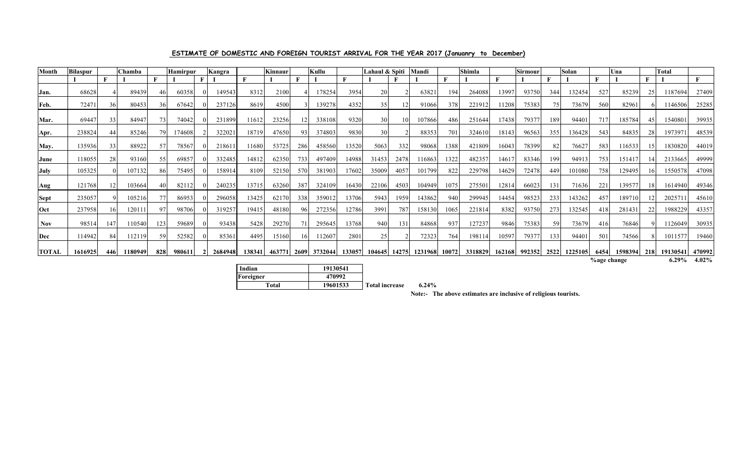| Month        | <b>Bilaspur</b> |     | Chamba  |     | <b>Hamirpur</b> | Kangra  |        | Kinnaur |      | Kullu   |        | Lahaul & Spiti |       | Mandi   |       | Shimla  |        | <b>Sirmour</b> |      | Solan   |                    | Una     |     | <b>Total</b> |              |
|--------------|-----------------|-----|---------|-----|-----------------|---------|--------|---------|------|---------|--------|----------------|-------|---------|-------|---------|--------|----------------|------|---------|--------------------|---------|-----|--------------|--------------|
|              |                 |     |         |     |                 |         |        |         |      |         | п      |                |       |         |       |         |        |                |      |         |                    |         |     |              | $\mathbf{F}$ |
| Jan.         | 68628           |     | 89439   |     | 60358           | 149543  | 8312   | 2100    |      | 178254  | 3954   | 20             |       | 63821   | 194   | 264088  | 13997  | 93750          | 344  | 132454  | 527                | 85239   |     | 1187694      | 27409        |
| Feb.         | 72471           | 36  | 80453   | 36  | 67642           | 237126  | 8619   | 4500    |      | 139278  | 4352   | 35             |       | 91066   | 378   | 221912  | 11208  | 75383          | 75   | 73679   | 560                | 82961   |     | 1146506      | 25285        |
| Mar.         | 69447           | 33  | 84947   |     | 74042           | 231899  | 11612  | 23256   |      | 338108  | 9320   | 30             | 10    | 107866  | 486   | 251644  | 17438  | 79377          | 189  | 94401   | 717                | 185784  |     | 1540801      | 39935        |
| Apr.         | 238824          | 44  | 85246   | 79. | 174608          | 322021  | 18719  | 47650   | 93   | 374803  | 9830   | 30             |       | 88353   | 701   | 324610  | 18143  | 96563          | 355  | 136428  | 543                | 84835   |     | 1973971      | 48539        |
| May.         | 135936          | 33  | 88922   |     | 78567           | 218611  | 11680  | 53725   | 286  | 458560  | 13520  | 5063           | 332   | 98068   | 1388  | 421809  | 16043  | 78399          | -82  | 76627   | 583                | 116533  |     | 1830820      | 44019        |
| June         | 118055          | 28  | 93160   | 55  | 69857           | 332485  | 14812  | 62350   | 733  | 497409  | 14988  | 31453          | 2478  | 116863  | 1322  | 482357  | 1461   | 83346          | 199  | 94913   | 753                | 151417  |     | 2133665      | 49999        |
| July         | 105325          |     | 107132  | 86  | 75495           | 158914  | 8109   | 52150   | 570  | 381903  | 17602  | 35009          | 4057  | 101799  | 822   | 229798  | 14629  | 72478          | 449  | 101080  | 758                | 129495  |     | 1550578      | 47098        |
| Aug          | 121768          |     | 103664  |     | 82112           | 240235  | 13715  | 63260   | 387  | 324109  | 16430  | 22106          | 4503  | 104949  | 1075  | 275501  | 12814  | 66023          | 131  | 71636   | 221                | 139577  |     | 1614940      | 49346        |
| <b>Sept</b>  | 235057          |     | 105216  |     | 86953           | 296058  | 13425  | 62170   | 338  | 359012  | 13706  | 5943           | 1959  | 143862  | 940   | 299945  | 14454  | 98523          | 233  | 143262  | 457                | 189710  |     | 202571       | 45610        |
| Oct          | 237958          | 16  | 12011   |     | 98706           | 319257  | 19415  | 48180   | 96   | 272356  | 12786  | 3991           | 787   | 158130  | 1065  | 221814  | 8382   | 93750          | 273  | 132545  | 418                | 281431  |     | 1988229      | 43357        |
| Nov          | 98514           | 147 | 110540  | 123 | 59689           | 93438   | 5428   | 29270   | 71   | 295645  | 13768  | 940            | 131   | 84868   | 937   | 127237  | 9846   | 75383          | -59  | 73679   | 416                | 76846   |     | 1126049      | 30935        |
| Dec          | 114942          | 84  | 112119  | 59  | 52582           | 85361   | 4495   | 15160   |      | 112607  | 2801   | 25             |       | 72323   | 764   | 198114  | 10597  | 79377          | 133  | 94401   | 501                | 74566   |     | 1011577      | 19460        |
| <b>TOTAL</b> | 1616925         | 446 | 1180949 | 828 | 980611          | 2684948 | 138341 | 463771  | 2609 | 3732044 | 133057 | 104645         | 14275 | 1231968 | 10072 | 3318829 | 162168 | 992352         | 2522 | 1225105 | 6454               | 1598394 | 218 | 19130541     | 470992       |
|              |                 |     |         |     |                 |         |        |         |      |         |        |                |       |         |       |         |        |                |      |         | <b>%age change</b> |         |     | $6.29\%$     | 4.02%        |

## **ESTIMATE OF DOMESTIC AND FOREIGN TOURIST ARRIVAL FOR THE YEAR 2017 (Januanry to December)**

| Indian    | 19130541 |                       |          |
|-----------|----------|-----------------------|----------|
| Foreigner | 470992   |                       |          |
| Total     | 19601533 | <b>Total increase</b> | $6.24\%$ |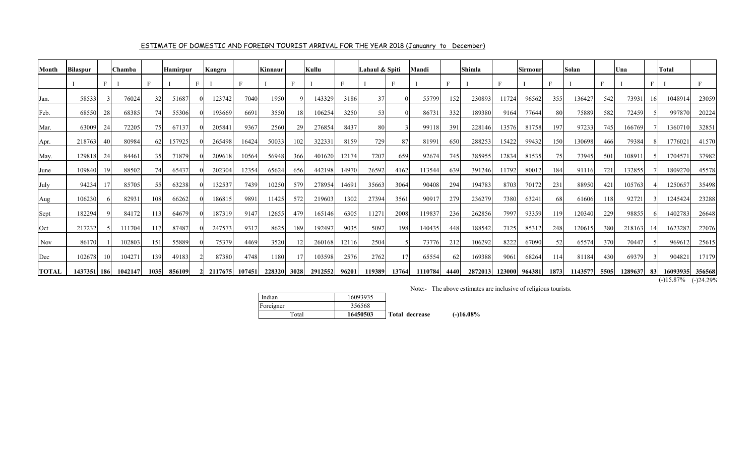| Month        | <b>Bilaspur</b> |      | Chamba  |      | <b>Hamirpur</b> | Kangra  |        | <b>Kinnaur</b> |      | Kullu   |              | Lahaul & Spiti |       | Mandi   |                 | Shimla  |        | Sirmour |      | Solan   |      | Una     |                 | <b>Total</b> |             |
|--------------|-----------------|------|---------|------|-----------------|---------|--------|----------------|------|---------|--------------|----------------|-------|---------|-----------------|---------|--------|---------|------|---------|------|---------|-----------------|--------------|-------------|
|              |                 | F    |         | F    |                 |         |        |                |      |         | $\mathbf{F}$ |                | E     |         |                 |         |        |         |      |         |      |         |                 |              |             |
| Jan.         | 58533           |      | 76024   | 32   | 51687           | 123742  | 7040   | 1950           |      | 143329  | 3186         | 37             |       | 55799   | 152             | 230893  | 11724  | 96562   | 355  | 136427  | 542  | 73931   | 16 <sup>1</sup> | 1048914      | 23059       |
| Feb.         | 68550           | 28   | 68385   | 74   | 55306           | 193669  | 6691   | 3550           | 18   | 106254  | 3250         | 53             |       | 86731   | 332             | 189380  | 9164   | 77644   | 80   | 75889   | 582  | 72459   |                 | 997870       | 20224       |
| Mar.         | 63009           | 24   | 72205   | 75   | 67137           | 205841  | 9367   | 2560           | 29   | 276854  | 8437         | 80             |       | 99118   | 391             | 228146  | 13576  | 81758   | 197  | 97233   | 745  | 166769  |                 | 1360710      | 32851       |
| Apr.         | 218763          |      | 80984   | 62   | 157925          | 265498  | 16424  | 50033          | 102  | 322331  | 8159         | 729            | 87    | 81991   | 650             | 288253  | 15422  | 99432   | 150  | 130698  | 466  | 79384   |                 | 1776021      | 41570       |
| May.         | 129818          | 24   | 84461   | 35   | 71879           | 209618  | 10564  | 56948          | 366  | 401620  | 12174        | 7207           | 659   | 92674   | 745             | 385955  | 12834  | 81535   | 75   | 73945   | 501  | 108911  |                 | 1704571      | 37982       |
| June         | 109840          |      | 88502   | 74   | 65437           | 202304  | 12354  | 65624          | 656  | 442198  | 14970        | 26592          | 4162  | 113544  | 639             | 391246  | 11792  | 80012   | 184  | 91116   | 721  | 132855  |                 | 1809270      | 45578       |
| July         | 94234           |      | 85705   | 55   | 63238           | 132537  | 7439   | 10250          | 579  | 278954  | 14691        | 35663          | 3064  | 90408   | 294             | 194783  | 8703   | 70172   | 231  | 88950   | 421  | 105763  |                 | 1250657      | 35498       |
| Aug          | 106230          |      | 82931   | 108  | 66262           | 186815  | 9891   | 11425          | 572  | 219603  | 1302         | 27394          | 3561  | 90917   | 27 <sup>S</sup> | 236279  | 7380   | 63241   | 68   | 61606   | 118  | 92721   |                 | 1245424      | 23288       |
| Sept         | 182294          |      | 84172   | 113  | 64679           | 187319  | 9147   | 12655          | 479  | 165146  | 6305         | 11271          | 2008  | 119837  | 236             | 262856  | 7997   | 93359   | 119  | 120340  | 229  | 98855   |                 | 1402783      | 26648       |
| Oct          | 217232          |      | 111704  | 117  | 87487           | 247573  | 9317   | 8625           | 189  | 192497  | 9035         | 5097           | 198   | 140435  | 448             | 188542  | 7125   | 85312   | 248  | 120615  | 380  | 218163  | 141             | 1623282      | 27076       |
| Nov          | 86170           |      | 102803  | 151  | 55889           | 75379   | 4469   | 3520           |      | 260168  | 12116        | 2504           |       | 73776   | 212             | 106292  | 8222   | 67090   | 52   | 65574   | 370  | 70447   |                 | 969612       | 25615       |
| Dec          | 102678          | -101 | 104271  | 139  | 49183           | 87380   | 4748   | 1180           |      | 103598  | 2576         | 2762           | 17    | 65554   | -62             | 169388  | 9061   | 68264   | 114  | 81184   | 430  | 69379   |                 | 904821       | 17179       |
| <b>TOTAL</b> | 1437351 186     |      | 1042147 | 1035 | 856109          | 2117675 | 107451 | 228320         | 3028 | 2912552 | 96201        | 119389         | 13764 | 1110784 | 4440            | 2872013 | 123000 | 964381  | 1873 | 1143577 | 5505 | 1289637 | 83              | 16093935     | 356568      |
|              |                 |      |         |      |                 |         |        |                |      |         |              |                |       |         |                 |         |        |         |      |         |      |         |                 | $(-)15.87%$  | $(-)24.299$ |

## ESTIMATE OF DOMESTIC AND FOREIGN TOURIST ARRIVAL FOR THE YEAR 2018 (Januanry to December)

| Indian    | 16093935 |                |             |
|-----------|----------|----------------|-------------|
| Foreigner | 356568   |                |             |
| Total     | 16450503 | Total decrease | $(-16.08\%$ |
|           |          |                |             |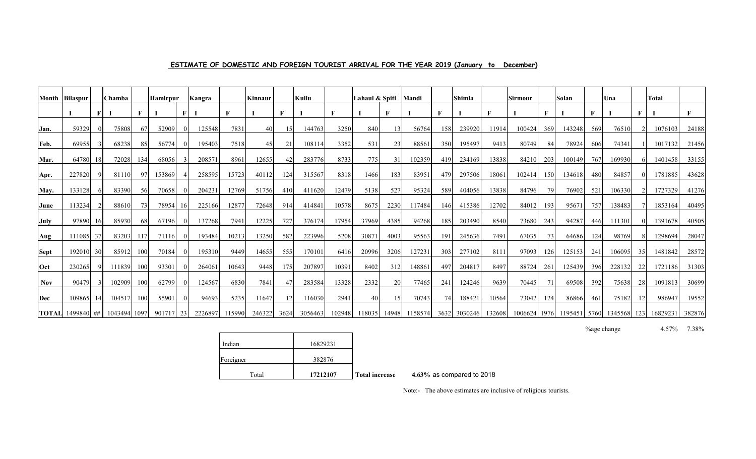| ESTIMATE OF DOMESTIC AND FOREIGN TOURIST ARRIVAL FOR THE YEAR 2019 (January to December) |  |  |  |
|------------------------------------------------------------------------------------------|--|--|--|
|------------------------------------------------------------------------------------------|--|--|--|

| Month       | Bilaspur                             |          | Chamba |     | <b>Hamirpur</b> |   | Kangra  |        | Kinnaur |                 | Kullu   |        | Lahaul & Spiti |       | Mandi   |     | <b>Shimla</b> |        | Sirmour |     | Solan  |     | Una                                   |              | <b>Total</b> |        |
|-------------|--------------------------------------|----------|--------|-----|-----------------|---|---------|--------|---------|-----------------|---------|--------|----------------|-------|---------|-----|---------------|--------|---------|-----|--------|-----|---------------------------------------|--------------|--------------|--------|
|             |                                      |          |        |     |                 | F |         |        |         | F               |         |        |                | F     |         |     |               | F      |         |     |        |     |                                       | $\mathbf{F}$ |              |        |
| Jan.        | 59329                                | $\Omega$ | 75808  | 67  | 52909           |   | 125548  | 7831   | 40      | 15              | 144763  | 3250   | 840            |       | 56764   | 158 | 239920        | 11914  | 100424  | 369 | 143248 | 569 | 76510                                 |              | 1076103      | 24188  |
| Feb.        | 69955                                |          | 68238  | 85  | 56774           |   | 195403  | 7518   | 45      | 21              | 108114  | 3352   | 531            | 23    | 88561   | 350 | 195497        | 9413   | 80749   | 84  | 78924  | 606 | 74341                                 |              | 1017132      | 21456  |
| Mar.        | 64780                                | 18       | 72028  | 134 | 68056           |   | 20857   | 8961   | 12655   | 42              | 283776  | 8733   | 775            | 31    | 102359  | 419 | 234169        | 13838  | 84210   | 203 | 100149 | 767 | 169930                                |              | 1401458      | 33155  |
| Apr.        | 227820                               |          | 81110  | 97  | 153869          |   | 258595  | 15723  | 40112   | 1241            | 315567  | 8318   | 1466           | 183   | 83951   | 479 | 297506        | 18061  | 102414  | 150 | 134618 | 480 | 84857                                 |              | 1781885      | 43628  |
| May.        | 133128                               | 61       | 83390  | 56  | 70658           |   | 204231  | 12769  | 51756   | 410             | 411620  | 12479  | 5138           | 527   | 95324   | 589 | 404056        | 13838  | 84796   | 79  | 76902  | 521 | 106330                                |              | 1727329      | 41276  |
| <b>June</b> | 113234                               |          | 88610  | 73  | 78954 16        |   | 225166  | 12877  | 72648   | 914             | 414841  | 10578  | 8675           | 2230  | 117484  | 146 | 415386        | 12702  | 84012   | 193 | 9567   | 757 | 138483                                |              | 1853164      | 40495  |
| July        | 97890                                | 16I      | 85930  | 68  | 67196           |   | 137268  | 7941   | 12225   | 727             | 376174  | 17954  | 37969          | 4385  | 94268   | 185 | 203490        | 8540   | 73680   | 243 | 94287  | 446 | 111301                                |              | 1391678      | 40505  |
| Aug         | 111085                               | 37       | 83203  | 117 | 71116           |   | 193484  | 10213  | 13250   | 582             | 223996  | 5208   | 3087           | 4003  | 95563   | 19  | 245636        | 7491   | 67035   | 73  | 64686  | 124 | 98769                                 |              | 1298694      | 28047  |
| <b>Sept</b> | 192010                               | 30       | 85912  | 100 | 70184           |   | 195310  | 9449   | 14655   | 555             | 170101  | 6416   | 20996          | 3206  | 127231  | 303 | 277102        | 8111   | 97093   | 126 | 125153 | 241 | 106095                                | 35           | 1481842      | 28572  |
| $ $ Oct     | 230265                               |          | 111839 | 100 | 93301           |   | 26406   | 10643  | 9448    | 1751            | 207897  | 10391  | 8402           | 312   | 148861  | 49  | 204817        | 8497   | 88724   | 261 | 125439 | 396 | 228132                                | 22           | 1721186      | 31303  |
| <b>Nov</b>  | 90479                                |          | 102909 | 100 | 62799           |   | 124567  | 6830   | 7841    | 47              | 283584  | 13328  | 2332           | 20    | 77465   | 241 | 124246        | 9639   | 70445   | 71  | 69508  | 392 | 75638                                 | 28           | 1091813      | 30699  |
| Dec         | 109865                               | -141     | 104517 | 100 | 55901           |   | 94693   | 5235   | 11647   | 12 <sub>l</sub> | 116030  | 2941   | 40             | 15    | 70743   |     | 188421        | 10564  | 73042   | 124 | 86866  | 461 | 75182                                 | 12           | 986947       | 19552  |
|             | <b>TOTAL</b> 1499840 ## 1043494 1097 |          |        |     | 901717 23       |   | 2226897 | 115990 | 246322  | 3624            | 3056463 | 102948 | 118035         | 14948 | 1158574 |     | 3632 3030246  | 132608 |         |     |        |     | 1006624 1976 1195451 5760 1345568 123 |              | 16829231     | 382876 |

%age change 4.57% 7.38%

| Indian    | 16829231 |    |
|-----------|----------|----|
| Foreigner | 382876   |    |
| Total     | 17212107 | Тc |

 **Total increase 4.63%** as compared to 2018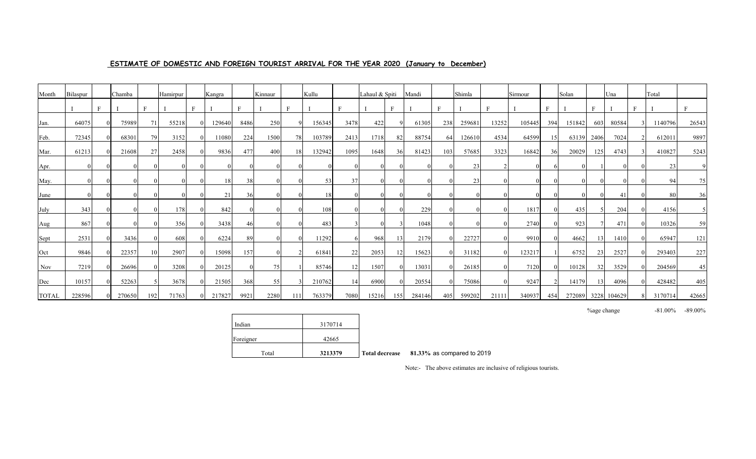## **ESTIMATE OF DOMESTIC AND FOREIGN TOURIST ARRIVAL FOR THE YEAR 2020 (January to December)**

| Month | Bilaspur |              | Chamba |     | Hamirpur | Kangra |              | Kinnaur |     | Kullu  |      | Lahaul & Spiti |              | Mandi  |              | Shimla |              | Sirmour |                 | Solan  |      | Una         | Total   |              |
|-------|----------|--------------|--------|-----|----------|--------|--------------|---------|-----|--------|------|----------------|--------------|--------|--------------|--------|--------------|---------|-----------------|--------|------|-------------|---------|--------------|
|       |          | $\mathbf{E}$ |        | r.  |          |        | $\mathbf{E}$ |         |     |        | Е    |                | $\mathbf{E}$ |        |              |        | $\mathbf{r}$ |         | $\mathbf{F}$    |        |      |             |         | $\mathbf{F}$ |
| Jan.  | 64075    |              | 75989  | 71  | 55218    | 129640 | 8486         | 250     |     | 156345 | 3478 | 422            |              | 61305  | 238          | 259681 | 13252        | 105445  | 394             | 151842 | 603  | 80584       | 1140796 | 26543        |
| Feb.  | 72345    |              | 68301  | 79  | 3152     | 11080  | 224          | 1500    | 78  | 103789 | 2413 | 1718           | 82           | 88754  | 64           | 126610 | 4534         | 64599   | 15              | 63139  | 2406 | 7024        | 612011  | 9897         |
| Mar.  | 61213    |              | 21608  | 27  | 2458     | 9836   | 477          | 400     | 18  | 132942 | 1095 | 1648           | 36           | 81423  | $10^{\circ}$ | 57685  | 3323         | 16842   | 36 <sub>1</sub> | 20029  | 125  | 4743        | 410827  | 5243         |
| Apr.  |          |              |        |     |          |        |              |         |     |        |      | $\theta$       |              |        |              | 23     |              |         |                 |        |      |             | 23      |              |
| May.  |          |              |        |     |          | 18     | 38           |         |     | 53     | 37   |                |              |        |              | 23     |              |         |                 |        |      |             | 94      | 75           |
| June  |          |              |        |     |          | 21     | 36           |         |     | 18     |      | 0              |              |        |              |        |              |         |                 |        |      | 41          | -80     | 36           |
| July  | 343      |              |        |     | 178      | 842    |              |         |     | 108    |      | $\left($       |              | 229    |              |        |              | 1817    |                 | 435    |      | 204         | 4156    |              |
| Aug   | 867      |              |        |     | 356      | 3438   | 46           |         |     | 483    |      | $\Omega$       |              | 1048   |              |        |              | 2740    |                 | 923    |      | 471         | 10326   | 59           |
| Sept  | 2531     |              | 3436   |     | 608      | 6224   | 89           |         |     | 11292  |      | 968            | 13           | 2179   |              | 22727  |              | 9910    |                 | 4662   |      | 1410        | 65947   | 121          |
| Oct   | 9846     |              | 22357  | 10  | 2907     | 15098  | 157          |         |     | 61841  | 22   | 2053           | 12           | 15623  |              | 31182  | $\Omega$     | 123217  |                 | 6752   | 23   | 2527        | 293403  | 227          |
| Nov   | 7219     |              | 26696  |     | 3208     | 20125  |              | 75      |     | 85746  | 12   | 1507           |              | 13031  |              | 26185  |              | 7120    |                 | 10128  | 32   | 3529        | 204569  | 45           |
| Dec   | 10157    |              | 52263  |     | 3678     | 21505  | 368          | 55      |     | 210762 | 14   | 6900           |              | 20554  |              | 75086  |              | 9247    |                 | 14179  |      | 4096        | 428482  | 405          |
| TOTAL | 228596   |              | 270650 | 192 | 71763    | 217827 | 9921         | 2280    | 111 | 763379 | 7080 | 15216          | 155          | 284146 | 405          | 599202 | 21111        | 340937  | 454             | 272089 |      | 3228 104629 | 3170714 | 42665        |

%age change  $-81.00\%$   $-89.00\%$ 

| Indian<br>Foreigner | 3170714<br>42665 |         |
|---------------------|------------------|---------|
| Total               | 3213379          | Total d |

 **Total decrease 81.33%** as compared to 2019